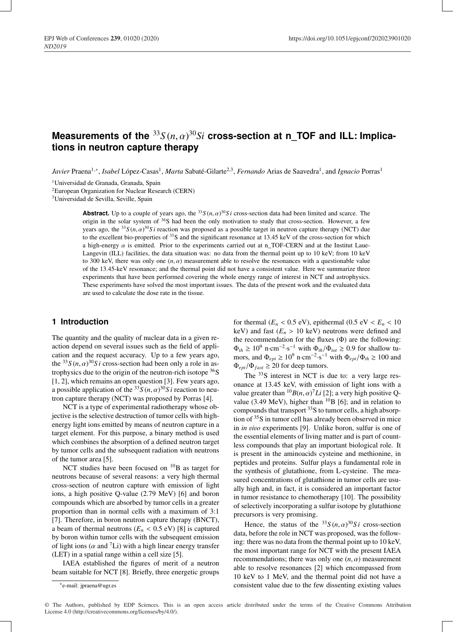# $M$ easurements of the  ${}^{33}S(n,\alpha){}^{30}Si$  cross-section at <code>n\_TOF</code> and <code>ILL:</code> Implica**tions in neutron capture therapy**

*Javier* Praena<sup>1,∗</sup>, *Isabel* López-Casas<sup>1</sup>, *Marta* Sabaté-Gilarte<sup>2,3</sup>, *Fernando* Arias de Saavedra<sup>1</sup>, and *Ignacio* Porras<sup>1</sup>

1Universidad de Granada, Granada, Spain

2European Organization for Nuclear Research (CERN)

3Universidad de Sevilla, Seville, Spain

**Abstract.** Up to a couple of years ago, the  $^{33}S(n, \alpha)^{30}Si$  cross-section data had been limited and scarce. The origin in the solar system of <sup>36</sup>S had been the only motivation to study that cross-section. However, a few years ago, the  $33S(n, \alpha)$ <sup>30</sup>Si reaction was proposed as a possible target in neutron capture therapy (NCT) due to the excellent bio-properties of <sup>33</sup>S and the significant resonance at 13.45 keV of the cross-section for which a high-energy  $\alpha$  is emitted. Prior to the experiments carried out at n\_TOF-CERN and at the Institut Laue-Langevin (ILL) facilities, the data situation was: no data from the thermal point up to 10 keV; from 10 keV to 300 keV, there was only one  $(n, \alpha)$  measurement able to resolve the resonances with a questionable value of the 13.45-keV resonance; and the thermal point did not have a consistent value. Here we summarize three experiments that have been performed covering the whole energy range of interest in NCT and astrophysics. These experiments have solved the most important issues. The data of the present work and the evaluated data are used to calculate the dose rate in the tissue.

## **1 Introduction**

The quantity and the quality of nuclear data in a given reaction depend on several issues such as the field of application and the request accuracy. Up to a few years ago, the  ${}^{33}S(n,\alpha){}^{30}Si$  cross-section had been only a role in astrophysics due to the origin of the neutron-rich isotope  $36S$ [1, 2], which remains an open question [3]. Few years ago, a possible application of the  ${}^{33}S(n,\alpha){}^{30}S i$  reaction to neutron capture therapy (NCT) was proposed by Porras [4].

NCT is a type of experimental radiotherapy whose objective is the selective destruction of tumor cells with highenergy light ions emitted by means of neutron capture in a target element. For this purpose, a binary method is used which combines the absorption of a defined neutron target by tumor cells and the subsequent radiation with neutrons of the tumor area [5].

NCT studies have been focused on  $^{10}B$  as target for neutrons because of several reasons: a very high thermal cross-section of neutron capture with emission of light ions, a high positive Q-value (2.79 MeV) [6] and boron compounds which are absorbed by tumor cells in a greater proportion than in normal cells with a maximum of 3:1 [7]. Therefore, in boron neutron capture therapy (BNCT), a beam of thermal neutrons  $(E_n < 0.5 \text{ eV})$  [8] is captured by boron within tumor cells with the subsequent emission of light ions ( $\alpha$  and <sup>7</sup>Li) with a high linear energy transfer (LET) in a spatial range within a cell size [5].

IAEA established the figures of merit of a neutron beam suitable for NCT [8]. Briefly, three energetic groups for thermal  $(E_n < 0.5 \text{ eV})$ , epithermal  $(0.5 \text{ eV} < E_n < 10$ keV) and fast  $(E_n > 10 \text{ keV})$  neutrons were defined and the recommendation for the fluxes (Φ) are the following:  $\Phi_{th} \geq 10^9$  n·cm<sup>-2</sup>·s<sup>-1</sup> with  $\Phi_{th}/\Phi_{tot} \geq 0.9$  for shallow tumors, and  $\Phi_{evi} \ge 10^9$  n·cm<sup>-2</sup>·s<sup>-1</sup> with  $\Phi_{evi}/\Phi_{th} \ge 100$  and  $\Phi_{epi}/\Phi_{fast} \geq 20$  for deep tumors.

The <sup>33</sup>S interest in NCT is due to: a very large resonance at 13.45 keV, with emission of light ions with a value greater than  ${}^{10}B(n, \alpha)^7Li$  [2]; a very high positive Qvalue (3.49 MeV), higher than  $^{10}B$  [6]; and in relation to compounds that transport <sup>33</sup>S to tumor cells, a high absorption of 35S in tumor cell has already been observed in mice in *in* v*i*v*o* experiments [9]. Unlike boron, sulfur is one of the essential elements of living matter and is part of countless compounds that play an important biological role. It is present in the aminoacids cysteine and methionine, in peptides and proteins. Sulfur plays a fundamental role in the synthesis of glutathione, from L-cysteine. The measured concentrations of glutathione in tumor cells are usually high and, in fact, it is considered an important factor in tumor resistance to chemotherapy [10]. The possibility of selectively incorporating a sulfur isotope by glutathione precursors is very promising.

Hence, the status of the  $^{33}S(n,\alpha)^{30}Si$  cross-section data, before the role in NCT was proposed, was the following: there was no data from the thermal point up to 10 keV, the most important range for NCT with the present IAEA recommendations; there was only one  $(n, \alpha)$  measurement able to resolve resonances [2] which encompassed from 10 keV to 1 MeV, and the thermal point did not have a consistent value due to the few dissenting existing values

<sup>∗</sup>e-mail: jpraena@ugr.es

<sup>©</sup> The Authors, published by EDP Sciences. This is an open access article distributed under the terms of the Creative Commons Attribution License 4.0 (http://creativecommons.org/licenses/by/4.0/).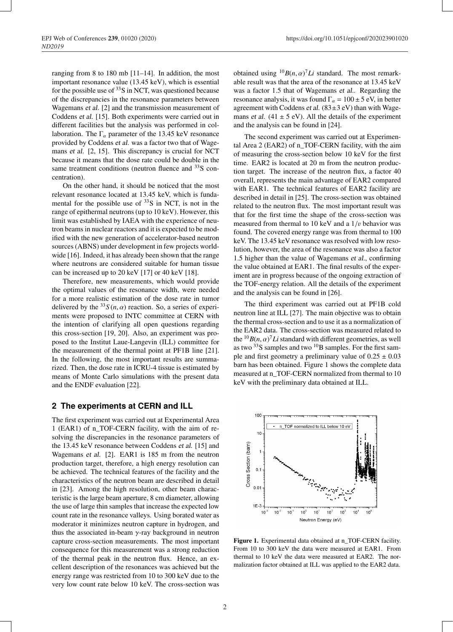ranging from 8 to 180 mb [11–14]. In addition, the most important resonance value (13.45 keV), which is essential for the possible use of  $33S$  in NCT, was questioned because of the discrepancies in the resonance parameters between Wagemans *et al.* [2] and the transmission measurement of Coddens *et al.* [15]. Both experiments were carried out in different facilities but the analysis was performed in collaboration. The  $\Gamma_{\alpha}$  parameter of the 13.45 keV resonance provided by Coddens *et al.* was a factor two that of Wagemans *et al.* [2, 15]. This discrepancy is crucial for NCT because it means that the dose rate could be double in the same treatment conditions (neutron fluence and <sup>33</sup>S concentration).

On the other hand, it should be noticed that the most relevant resonance located at 13.45 keV, which is fundamental for the possible use of  $33S$  in NCT, is not in the range of epithermal neutrons (up to 10 keV). However, this limit was established by IAEA with the experience of neutron beams in nuclear reactors and it is expected to be modified with the new generation of accelerator-based neutron sources (ABNS) under development in few projects worldwide [16]. Indeed, it has already been shown that the range where neutrons are considered suitable for human tissue can be increased up to 20 keV [17] or 40 keV [18].

Therefore, new measurements, which would provide the optimal values of the resonance width, were needed for a more realistic estimation of the dose rate in tumor delivered by the  ${}^{33}S(n, \alpha)$  reaction. So, a series of experiments were proposed to INTC committee at CERN with the intention of clarifying all open questions regarding this cross-section [19, 20]. Also, an experiment was proposed to the Institut Laue-Langevin (ILL) committee for the measurement of the thermal point at PF1B line [21]. In the following, the most important results are summarized. Then, the dose rate in ICRU-4 tissue is estimated by means of Monte Carlo simulations with the present data and the ENDF evaluation [22].

## **2 The experiments at CERN and ILL**

The first experiment was carried out at Experimental Area 1 (EAR1) of n\_TOF-CERN facility, with the aim of resolving the discrepancies in the resonance parameters of the 13.45 keV resonance between Coddens *et al.* [15] and Wagemans *et al.* [2]. EAR1 is 185 m from the neutron production target, therefore, a high energy resolution can be achieved. The technical features of the facility and the characteristics of the neutron beam are described in detail in [23]. Among the high resolution, other beam characteristic is the large beam aperture, 8 cm diameter, allowing the use of large thin samples that increase the expected low count rate in the resonance valleys. Using borated water as moderator it minimizes neutron capture in hydrogen, and thus the associated in-beam  $\gamma$ -ray background in neutron capture cross-section measurements. The most important consequence for this measurement was a strong reduction of the thermal peak in the neutron flux. Hence, an excellent description of the resonances was achieved but the energy range was restricted from 10 to 300 keV due to the very low count rate below 10 keV. The cross-section was obtained using  ${}^{10}B(n, \alpha)^7Li$  standard. The most remarkable result was that the area of the resonance at 13.45 keV was a factor 1.5 that of Wagemans *et al.*. Regarding the resonance analysis, it was found  $\Gamma_{\alpha} = 100 \pm 5$  eV, in better agreement with Coddens *et al.*  $(83\pm3 \text{ eV})$  than with Wagemans *et al.* (41  $\pm$  5 eV). All the details of the experiment and the analysis can be found in [24].

The second experiment was carried out at Experimental Area 2 (EAR2) of n\_TOF-CERN facility, with the aim of measuring the cross-section below 10 keV for the first time. EAR2 is located at 20 m from the neutron production target. The increase of the neutron flux, a factor 40 overall, represents the main advantage of EAR2 compared with EAR1. The technical features of EAR2 facility are described in detail in [25]. The cross-section was obtained related to the neutron flux. The most important result was that for the first time the shape of the cross-section was measured from thermal to 10 keV and a  $1/v$  behavior was found. The covered energy range was from thermal to 100 keV. The 13.45 keV resonance was resolved with low resolution, however, the area of the resonance was also a factor 1.5 higher than the value of Wagemans *et al.*, confirming the value obtained at EAR1. The final results of the experiment are in progress because of the ongoing extraction of the TOF-energy relation. All the details of the experiment and the analysis can be found in [26].

The third experiment was carried out at PF1B cold neutron line at ILL [27]. The main objective was to obtain the thermal cross-section and to use it as a normalization of the EAR2 data. The cross-section was measured related to the  $^{10}B(n, \alpha)^7Li$  standard with different geometries, as well as two <sup>33</sup>S samples and two <sup>10</sup>B samples. For the first sample and first geometry a preliminary value of  $0.25 \pm 0.03$ barn has been obtained. Figure 1 shows the complete data measured at n\_TOF-CERN normalized from thermal to 10 keV with the preliminary data obtained at ILL.



Figure 1. Experimental data obtained at n\_TOF-CERN facility. From 10 to 300 keV the data were measured at EAR1. From thermal to 10 keV the data were measured at EAR2. The normalization factor obtained at ILL was applied to the EAR2 data.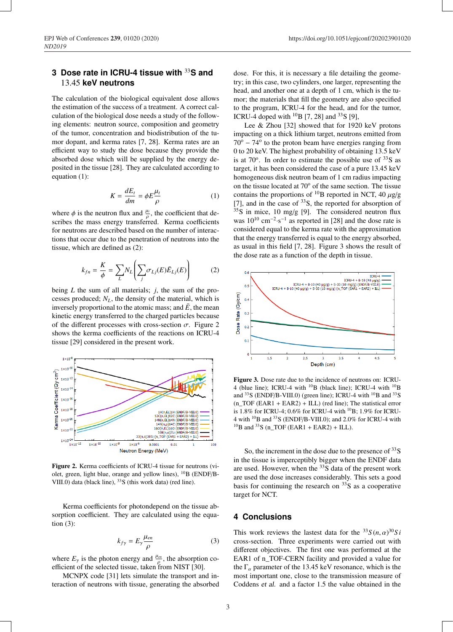## **3 Dose rate in ICRU-4 tissue with** <sup>33</sup>**S and** 13.45 **keV neutrons**

The calculation of the biological equivalent dose allows the estimation of the success of a treatment. A correct calculation of the biological dose needs a study of the following elements: neutron source, composition and geometry of the tumor, concentration and biodistribution of the tumor dopant, and kerma rates [7, 28]. Kerma rates are an efficient way to study the dose because they provide the absorbed dose which will be supplied by the energy deposited in the tissue [28]. They are calculated according to equation (1):

$$
K = \frac{dE_t}{dm} = \phi E \frac{\mu_t}{\rho} \tag{1}
$$

where  $\phi$  is the neutron flux and  $\frac{\mu_t}{\rho}$ , the coefficient that describes the mass energy transferred. Kerma coefficients for neutrons are described based on the number of interactions that occur due to the penetration of neutrons into the tissue, which are defined as (2):

$$
k_{fn} = \frac{K}{\phi} = \sum_{L} N_L \left( \sum_j \sigma_{Lj}(E) \bar{E}_{Lj}(E) \right)
$$
 (2)

being *L* the sum of all materials; *j*, the sum of the processes produced;  $N_L$ , the density of the material, which is inversely proportional to the atomic mass; and  $\bar{E}$ , the mean kinetic energy transferred to the charged particles because of the different processes with cross-section  $\sigma$ . Figure 2 shows the kerma coefficients of the reactions on ICRU-4 tissue [29] considered in the present work.



Figure 2. Kerma coefficients of ICRU-4 tissue for neutrons (violet, green, light blue, orange and yellow lines), <sup>10</sup>B (ENDF/B-VIII.0) data (black line), <sup>33</sup>S (this work data) (red line).

Kerma coefficients for photondepend on the tissue absorption coefficient. They are calculated using the equation (3):

$$
k_{f\gamma} = E_{\gamma} \frac{\mu_{en}}{\rho} \tag{3}
$$

where  $E_{\gamma}$  is the photon energy and  $\frac{\mu_{en}}{\rho}$ , the absorption coefficient of the selected tissue, taken from NIST [30].

MCNPX code [31] lets simulate the transport and interaction of neutrons with tissue, generating the absorbed dose. For this, it is necessary a file detailing the geometry; in this case, two cylinders, one larger, representing the head, and another one at a depth of 1 cm, which is the tumor; the materials that fill the geometry are also specified to the program, ICRU-4 for the head, and for the tumor, ICRU-4 doped with  $^{10}$ B [7, 28] and  $^{33}$ S [9],

Lee & Zhou [32] showed that for 1920 keV protons impacting on a thick lithium target, neutrons emitted from  $70^{\circ}$  – 74 $^{\circ}$  to the proton beam have energies ranging from 0 to 20 keV. The highest probability of obtaining 13.5 keV is at  $70^{\circ}$ . In order to estimate the possible use of  $33S$  as target, it has been considered the case of a pure 13.45 keV homogeneous disk neutron beam of 1 cm radius impacting on the tissue located at  $70^{\circ}$  of the same section. The tissue contains the proportions of <sup>10</sup>B reported in NCT, 40  $\mu$ g/g [7], and in the case of  $33S$ , the reported for absorption of  $35S$  in mice, 10 mg/g [9]. The considered neutron flux was  $10^{10}$  cm<sup>-2</sup>·s<sup>-1</sup> as reported in [28] and the dose rate is considered equal to the kerma rate with the approximation that the energy transferred is equal to the energy absorbed, as usual in this field [7, 28]. Figure 3 shows the result of the dose rate as a function of the depth in tissue.



Figure 3. Dose rate due to the incidence of neutrons on: ICRU-4 (blue line); ICRU-4 with  $^{10}B$  (black line); ICRU-4 with  $^{10}B$ and  $33S$  (ENDF/B-VIII.0) (green line); ICRU-4 with  $10B$  and  $33S$  $(n_TOF (EAR1 + EAR2) + ILL)$  (red line); The statistical error is 1.8% for ICRU-4; 0.6% for ICRU-4 with 10B; 1.9% for ICRU-4 with 10B and 33S (ENDF/B-VIII.0); and 2.0% for ICRU-4 with  $^{10}$ B and  $^{33}$ S (n\_TOF (EAR1 + EAR2) + ILL).

So, the increment in the dose due to the presence of  $33S$ in the tissue is imperceptibly bigger when the ENDF data are used. However, when the  $33S$  data of the present work are used the dose increases considerably. This sets a good basis for continuing the research on  $33S$  as a cooperative target for NCT.

### **4 Conclusions**

This work reviews the lastest data for the  ${}^{33}S(n, \alpha){}^{30}Si$ cross-section. Three experiments were carried out with different objectives. The first one was performed at the EAR1 of n\_TOF-CERN facility and provided a value for the  $\Gamma_{\alpha}$  parameter of the 13.45 keV resonance, which is the most important one, close to the transmission measure of Coddens *et al.* and a factor 1.5 the value obtained in the